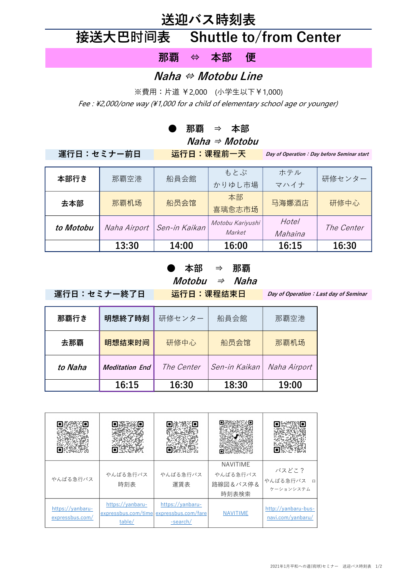## 送迎バス時刻表

# 接送大巴时间表 Shuttle to/from Center

那覇 ⇔ 本部 便

#### Naha ⇔ Motobu Line

※費用:片道 ¥2,000 (小学生以下¥1,000) Fee : \2,000/one way (\1,000 for a child of elementary school age or younger)

#### ● 那覇 ⇒ 本部

Naha  $\Rightarrow$  Motobu

運行日:セミナー前日 运行日:课程前一天

Day of Operation: Day before Seminar start

| 本部行き      | 那覇空港         | 船員会館          | もとぶ<br>かりゆし市場              | ホテル<br>マハイナ      | 研修センター     |
|-----------|--------------|---------------|----------------------------|------------------|------------|
| 去本部       | 那覇机场         | 船员会馆          | 本部<br>喜璃愈志市场               | 马海娜酒店            | 研修中心       |
| to Motobu | Naha Airport | Sen-in Kaikan | Motobu Kariyushi<br>Market | Hotel<br>Mahaina | The Center |
|           | 13:30        | 14:00         | 16:00                      | 16:15            | 16:30      |

### 本部 ⇒ 那覇

 $$ 

運行日:セミナー終了日 运行日:课程结束日

Day of Operation: Last day of Seminar

| 那覇行き    | 明想終了時刻                | 研修センター | 船員会館          | 那覇空港         |
|---------|-----------------------|--------|---------------|--------------|
| 去那覇     | 明想结束时间                | 研修中心   | 船员会馆          | 那覇机场         |
| to Naha | <b>Meditation End</b> |        | Sen-in Kaikan | Naha Airport |
|         | 16:15                 | 16:30  | 18:30         | 19:00        |

| やんばる急行バス                            | やんばる急行バス<br>時刻表                                                       | やんばる急行バス<br>運賃表              | <b>NAVITIME</b><br>やんばる急行バス<br>路線図&バス停&<br>時刻表検索 | バスどこ?<br>やんばる急行バス<br>$\Box$<br>ケーションシステム |
|-------------------------------------|-----------------------------------------------------------------------|------------------------------|--------------------------------------------------|------------------------------------------|
| https://yanbaru-<br>expressbus.com/ | https://yanbaru-<br>expressbus.com/time expressbus.com/fare<br>table/ | https://yanbaru-<br>-search/ | <b>NAVITIME</b>                                  | http://yanbaru-bus-<br>navi.com/yanbaru/ |